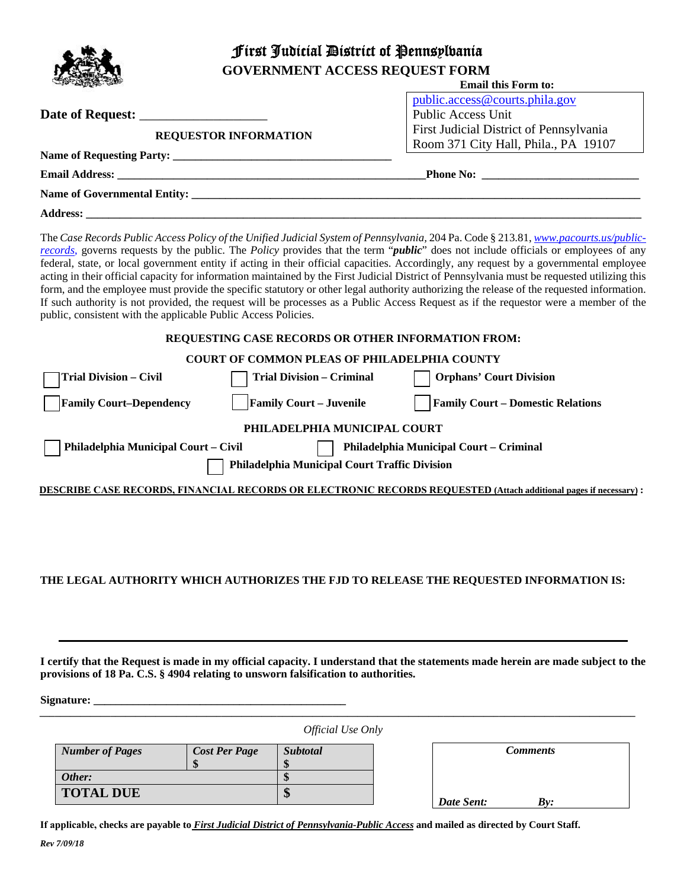|  | First Judicial District of Pennsplbania |                                         |  |  |  |
|--|-----------------------------------------|-----------------------------------------|--|--|--|
|  | <b>GOVERNMENT ACCESS REQUEST FORM</b>   |                                         |  |  |  |
|  |                                         | <b>Email this Form to:</b>              |  |  |  |
|  |                                         | public.access@courts.phila.gov          |  |  |  |
|  |                                         | <b>Public Access Unit</b>               |  |  |  |
|  | <b>REQUESTOR INFORMATION</b>            | First Judicial District of Pennsylvania |  |  |  |
|  |                                         | Room 371 City Hall, Phila., PA 19107    |  |  |  |
|  | Name of Requesting Party:               |                                         |  |  |  |
|  |                                         |                                         |  |  |  |
|  |                                         |                                         |  |  |  |
|  |                                         |                                         |  |  |  |

The Case Records Public Access Policy of the Unified Judicial System of Pennsylvania, 204 Pa. Code § 213.81, *www.pacourts.us/publicrecords*, governs requests by the public. The *Policy* provides that the term "*public*" does not include officials or employees of any federal, state, or local government entity if acting in their official capacities. Accordingly, any request by a governmental employee acting in their official capacity for information maintained by the First Judicial District of Pennsylvania must be requested utilizing this form, and the employee must provide the specific statutory or other legal authority authorizing the release of the requested information. If such authority is not provided, the request will be processes as a Public Access Request as if the requestor were a member of the public, consistent with the applicable Public Access Policies.

#### **REQUESTING CASE RECORDS OR OTHER INFORMATION FROM:**

### **COURT OF COMMON PLEAS OF PHILADELPHIA COUNTY**

| <b>Trial Division - Civil</b>                                                   | <b>Trial Division - Criminal</b> | <b>Orphans' Court Division</b>                                                                                   |  |  |  |  |
|---------------------------------------------------------------------------------|----------------------------------|------------------------------------------------------------------------------------------------------------------|--|--|--|--|
| <b>Family Court-Dependency</b>                                                  | <b>Family Court – Juvenile</b>   | <b>Family Court – Domestic Relations</b>                                                                         |  |  |  |  |
| PHILADELPHIA MUNICIPAL COURT                                                    |                                  |                                                                                                                  |  |  |  |  |
| Philadelphia Municipal Court - Civil<br>Philadelphia Municipal Court - Criminal |                                  |                                                                                                                  |  |  |  |  |
| Philadelphia Municipal Court Traffic Division                                   |                                  |                                                                                                                  |  |  |  |  |
|                                                                                 |                                  | DESCRIBE CASE RECORDS, FINANCIAL RECORDS OR ELECTRONIC RECORDS REQUESTED (Attach additional pages if necessary): |  |  |  |  |
|                                                                                 |                                  |                                                                                                                  |  |  |  |  |

#### **THE LEGAL AUTHORITY WHICH AUTHORIZES THE FJD TO RELEASE THE REQUESTED INFORMATION IS:**

**I certify that the Request is made in my official capacity. I understand that the statements made herein are made subject to the provisions of 18 Pa. C.S. § 4904 relating to unsworn falsification to authorities.** 

 $Signature:$ 

*\_\_\_\_\_\_\_\_\_\_\_\_\_\_\_\_\_\_\_\_\_\_\_\_\_\_\_\_\_\_\_\_\_\_\_\_\_\_\_\_\_\_\_\_\_\_\_\_\_\_\_\_\_\_\_\_\_\_\_\_\_\_\_\_\_\_\_\_\_\_\_\_\_\_\_\_\_\_\_\_\_\_\_\_\_\_\_\_\_\_\_\_\_\_\_\_\_\_\_\_\_\_\_\_\_\_\_\_\_\_\_\_\_\_\_\_\_\_ Official Use Only* 

| <b>Number of Pages</b> | <b>Cost Per Page</b><br>\$ | <b>Subtotal</b><br>Œ |
|------------------------|----------------------------|----------------------|
| Other:                 |                            | пD                   |
| <b>TOTAL DUE</b>       |                            | Φ                    |

| <b>Comments</b> |     |  |  |
|-----------------|-----|--|--|
|                 |     |  |  |
| Date Sent:      | By: |  |  |

**If applicable, checks are payable to** *First Judicial District of Pennsylvania-Public Access* **and mailed as directed by Court Staff.**